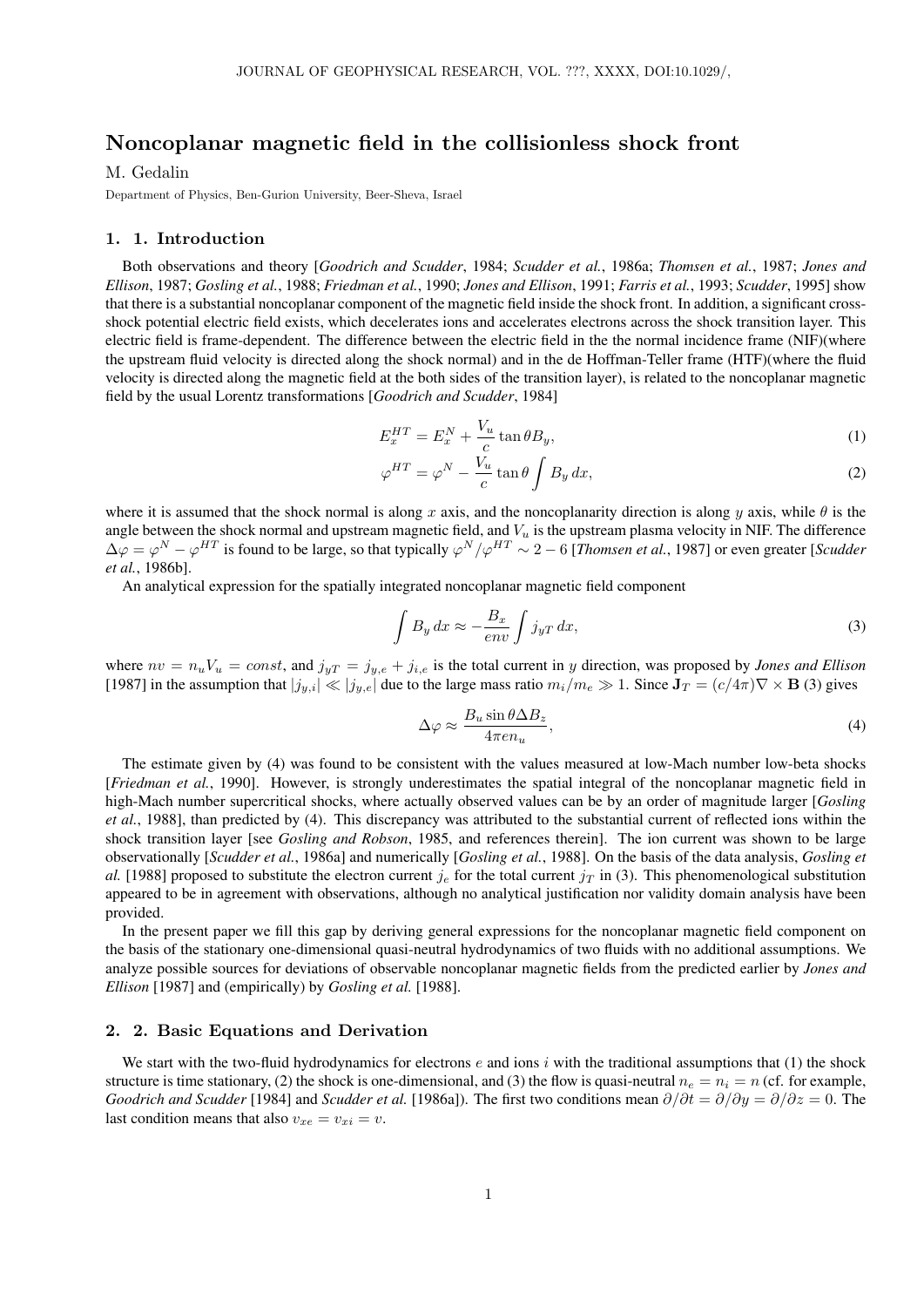# Noncoplanar magnetic field in the collisionless shock front

# M. Gedalin

Department of Physics, Ben-Gurion University, Beer-Sheva, Israel

#### 1. 1. Introduction

Both observations and theory [*Goodrich and Scudder*, 1984; *Scudder et al.*, 1986a; *Thomsen et al.*, 1987; *Jones and Ellison*, 1987; *Gosling et al.*, 1988; *Friedman et al.*, 1990; *Jones and Ellison*, 1991; *Farris et al.*, 1993; *Scudder*, 1995] show that there is a substantial noncoplanar component of the magnetic field inside the shock front. In addition, a significant crossshock potential electric field exists, which decelerates ions and accelerates electrons across the shock transition layer. This electric field is frame-dependent. The difference between the electric field in the the normal incidence frame (NIF)(where the upstream fluid velocity is directed along the shock normal) and in the de Hoffman-Teller frame (HTF)(where the fluid velocity is directed along the magnetic field at the both sides of the transition layer), is related to the noncoplanar magnetic field by the usual Lorentz transformations [*Goodrich and Scudder*, 1984]

$$
E_x^{HT} = E_x^N + \frac{V_u}{c} \tan \theta B_y,\tag{1}
$$

$$
\varphi^{HT} = \varphi^N - \frac{V_u}{c} \tan \theta \int B_y dx, \qquad (2)
$$

where it is assumed that the shock normal is along x axis, and the noncoplanarity direction is along y axis, while  $\theta$  is the angle between the shock normal and upstream magnetic field, and  $V_u$  is the upstream plasma velocity in NIF. The difference  $\Delta\varphi = \varphi^N - \varphi^{HT}$  is found to be large, so that typically  $\varphi^N/\varphi^{HT} \sim 2-6$  [*Thomsen et al.*, 1987] or even greater [*Scudder et al.*, 1986b].

An analytical expression for the spatially integrated noncoplanar magnetic field component

$$
\int B_y dx \approx -\frac{B_x}{env} \int j_{yT} dx,
$$
\n(3)

where  $nv = n_uV_u = const$ , and  $j_{yT} = j_{y,e} + j_{i,e}$  is the total current in y direction, was proposed by *Jones and Ellison* [1987] in the assumption that  $|j_{y,i}| \ll |j_{y,e}|$  due to the large mass ratio  $m_i/m_e \gg 1$ . Since  $\mathbf{J}_T = (c/4\pi)\nabla \times \mathbf{B}$  (3) gives

$$
\Delta \varphi \approx \frac{B_u \sin \theta \Delta B_z}{4\pi e n_u},\tag{4}
$$

The estimate given by (4) was found to be consistent with the values measured at low-Mach number low-beta shocks [*Friedman et al.*, 1990]. However, is strongly underestimates the spatial integral of the noncoplanar magnetic field in high-Mach number supercritical shocks, where actually observed values can be by an order of magnitude larger [*Gosling et al.*, 1988], than predicted by (4). This discrepancy was attributed to the substantial current of reflected ions within the shock transition layer [see *Gosling and Robson*, 1985, and references therein]. The ion current was shown to be large observationally [*Scudder et al.*, 1986a] and numerically [*Gosling et al.*, 1988]. On the basis of the data analysis, *Gosling et al.* [1988] proposed to substitute the electron current  $j_e$  for the total current  $j<sub>T</sub>$  in (3). This phenomenological substitution appeared to be in agreement with observations, although no analytical justification nor validity domain analysis have been provided.

In the present paper we fill this gap by deriving general expressions for the noncoplanar magnetic field component on the basis of the stationary one-dimensional quasi-neutral hydrodynamics of two fluids with no additional assumptions. We analyze possible sources for deviations of observable noncoplanar magnetic fields from the predicted earlier by *Jones and Ellison* [1987] and (empirically) by *Gosling et al.* [1988].

# 2. 2. Basic Equations and Derivation

We start with the two-fluid hydrodynamics for electrons e and ions i with the traditional assumptions that (1) the shock structure is time stationary, (2) the shock is one-dimensional, and (3) the flow is quasi-neutral  $n_e = n_i = n$  (cf. for example, *Goodrich and Scudder* [1984] and *Scudder et al.* [1986a]). The first two conditions mean  $\partial/\partial t = \partial/\partial y = \partial/\partial z = 0$ . The last condition means that also  $v_{xe} = v_{xi} = v$ .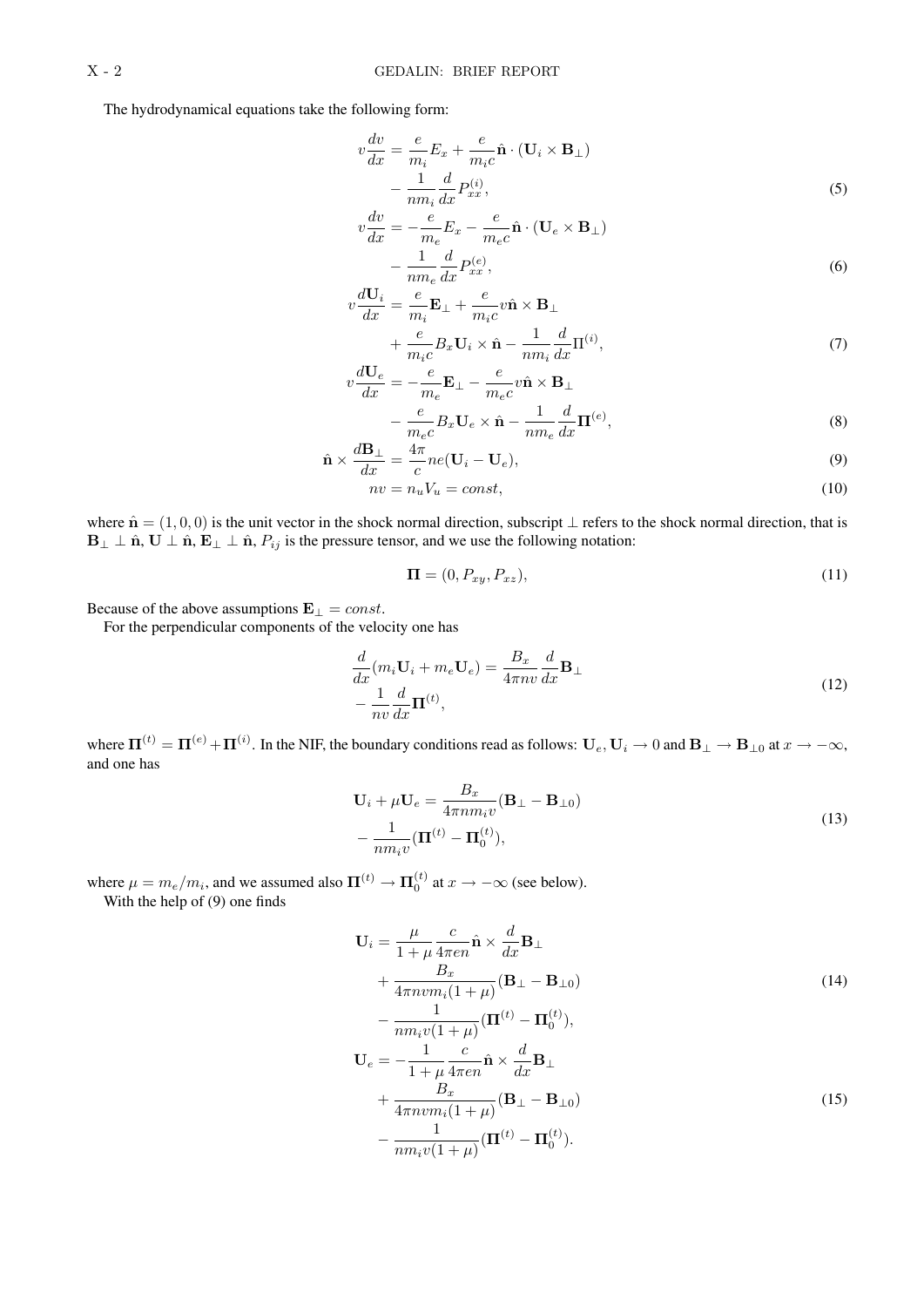The hydrodynamical equations take the following form:

$$
v\frac{dv}{dx} = \frac{e}{m_i}E_x + \frac{e}{m_ic}\hat{\mathbf{n}} \cdot (\mathbf{U}_i \times \mathbf{B}_\perp) - \frac{1}{nm_i}\frac{d}{dx}P_{xx}^{(i)},
$$
\n(5)

$$
v\frac{dv}{dx} = -\frac{e}{m_e}E_x - \frac{e}{m_e c}\hat{\mathbf{n}} \cdot (\mathbf{U}_e \times \mathbf{B}_\perp) - \frac{1}{nm_e}\frac{d}{dx}P_{xx}^{(e)},
$$
\n(6)

$$
v\frac{d\mathbf{U}_i}{dx} = \frac{e}{m_i}\mathbf{E}_{\perp} + \frac{e}{m_i c}v\hat{\mathbf{n}} \times \mathbf{B}_{\perp}
$$

$$
\frac{e}{m_i}\mathbf{E}_{\perp} + \frac{e}{m_i c}\frac{\mathbf{U}}{m_i c}\frac{1}{m_i d_{\mathbf{U}}(i)} \tag{7}
$$

$$
+\frac{e}{m_ic}B_x\mathbf{U}_i \times \hat{\mathbf{n}} - \frac{1}{nm_i}\frac{d}{dx}\Pi^{(i)},
$$
\n
$$
d\mathbf{U}_e \qquad e \qquad e \qquad \Omega
$$
\n(7)

$$
v\frac{d\mathbf{U}_e}{dx} = -\frac{e}{m_e}\mathbf{E}_{\perp} - \frac{e}{m_e c}v\hat{\mathbf{n}} \times \mathbf{B}_{\perp}
$$

$$
-\frac{e}{m_e c}B_x\mathbf{U}_e \times \hat{\mathbf{n}} - \frac{1}{nm_e}\frac{d}{dx}\mathbf{\Pi}^{(e)},\tag{8}
$$

$$
\hat{\mathbf{n}} \times \frac{d\mathbf{B}_{\perp}}{dx} = \frac{4\pi}{c} ne(\mathbf{U}_i - \mathbf{U}_e),
$$
\n(9)

$$
nv = n_u V_u = const,\t\t(10)
$$

where  $\hat{\mathbf{n}} = (1, 0, 0)$  is the unit vector in the shock normal direction, subscript  $\perp$  refers to the shock normal direction, that is  $B_{\perp} \perp \hat{n}$ ,  $U \perp \hat{n}$ ,  $E_{\perp} \perp \hat{n}$ ,  $P_{ij}$  is the pressure tensor, and we use the following notation:

$$
\mathbf{\Pi} = (0, P_{xy}, P_{xz}),\tag{11}
$$

Because of the above assumptions  $\mathbf{E}_{\perp} = const.$ 

For the perpendicular components of the velocity one has

$$
\frac{d}{dx}(m_i \mathbf{U}_i + m_e \mathbf{U}_e) = \frac{B_x}{4\pi n v} \frac{d}{dx} \mathbf{B}_{\perp} \n- \frac{1}{nv} \frac{d}{dx} \mathbf{\Pi}^{(t)},
$$
\n(12)

where  $\Pi^{(t)} = \Pi^{(e)} + \Pi^{(i)}$ . In the NIF, the boundary conditions read as follows:  $U_e, U_i \to 0$  and  $B_\perp \to B_{\perp 0}$  at  $x \to -\infty$ , and one has

$$
\mathbf{U}_{i} + \mu \mathbf{U}_{e} = \frac{B_{x}}{4\pi n m_{i} v} (\mathbf{B}_{\perp} - \mathbf{B}_{\perp 0})
$$

$$
-\frac{1}{n m_{i} v} (\mathbf{\Pi}^{(t)} - \mathbf{\Pi}_{0}^{(t)}), \tag{13}
$$

where  $\mu = m_e/m_i$ , and we assumed also  $\Pi^{(t)} \to \Pi_0^{(t)}$  at  $x \to -\infty$  (see below). With the help of (9) one finds

$$
\mathbf{U}_{i} = \frac{\mu}{1+\mu} \frac{c}{4\pi en} \hat{\mathbf{n}} \times \frac{d}{dx} \mathbf{B}_{\perp}
$$
  
+ 
$$
\frac{B_{x}}{4\pi n v m_{i}(1+\mu)} (\mathbf{B}_{\perp} - \mathbf{B}_{\perp 0})
$$
  
- 
$$
\frac{1}{nm_{i}v(1+\mu)} (\mathbf{\Pi}^{(t)} - \mathbf{\Pi}_{0}^{(t)}),
$$
  

$$
\mathbf{U}_{e} = -\frac{1}{1+\mu} \frac{c}{4\pi en} \hat{\mathbf{n}} \times \frac{d}{dx} \mathbf{B}_{\perp}
$$
  
+ 
$$
\frac{B_{x}}{4\pi n v m_{i}(1+\mu)} (\mathbf{B}_{\perp} - \mathbf{B}_{\perp 0})
$$
  
- 
$$
\frac{1}{nm_{i}v(1+\mu)} (\mathbf{\Pi}^{(t)} - \mathbf{\Pi}_{0}^{(t)}).
$$
 (15)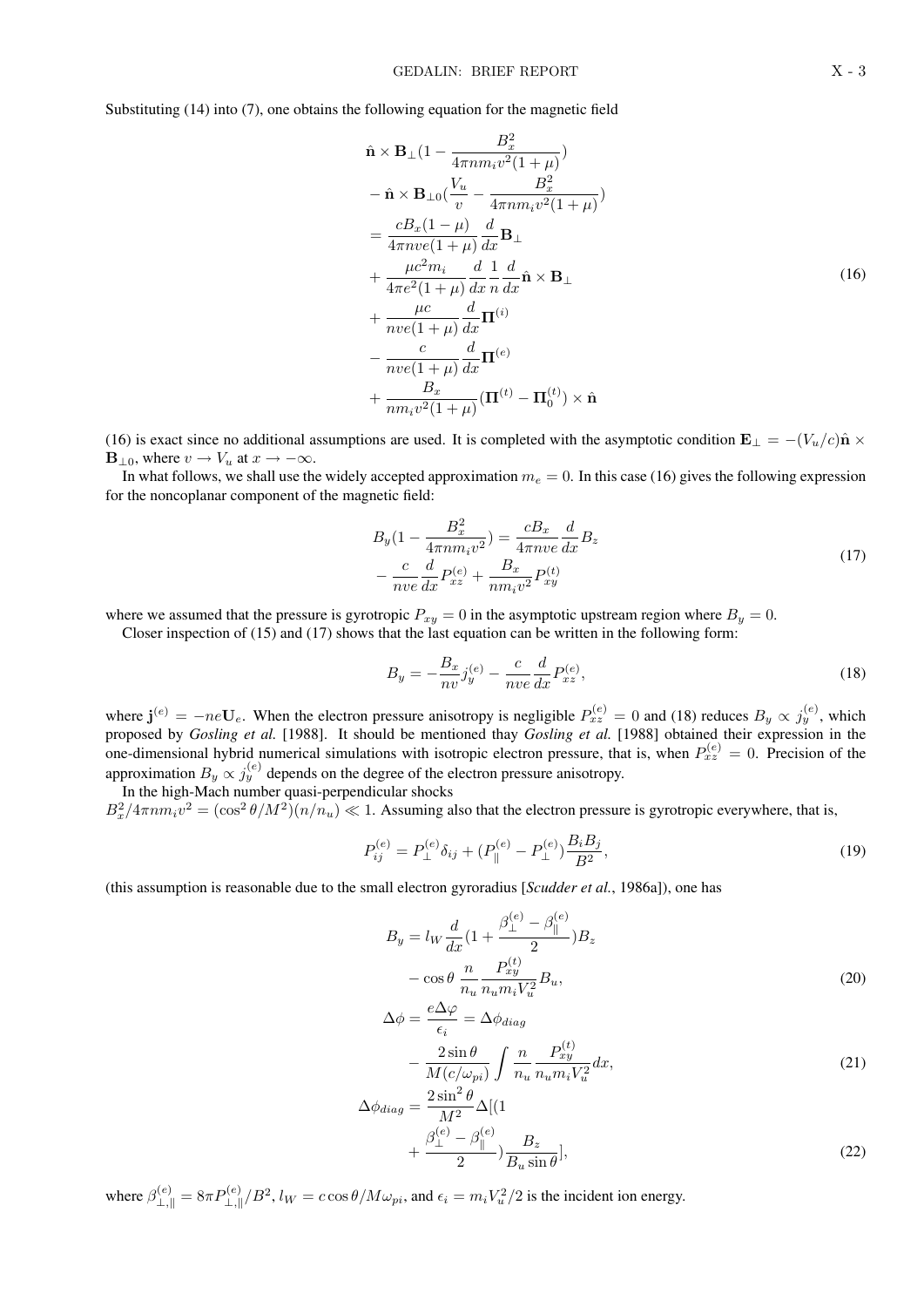Substituting (14) into (7), one obtains the following equation for the magnetic field

$$
\hat{\mathbf{n}} \times \mathbf{B}_{\perp} (1 - \frac{B_x^2}{4\pi n m_i v^2 (1 + \mu)})
$$
\n
$$
- \hat{\mathbf{n}} \times \mathbf{B}_{\perp 0} (\frac{V_u}{v} - \frac{B_x^2}{4\pi n m_i v^2 (1 + \mu)})
$$
\n
$$
= \frac{c B_x (1 - \mu)}{4\pi n v e (1 + \mu)} \frac{d}{dx} \mathbf{B}_{\perp}
$$
\n
$$
+ \frac{\mu c^2 m_i}{4\pi e^2 (1 + \mu)} \frac{d}{dx} \hat{\mathbf{n}} \frac{1}{dx} \hat{\mathbf{n}} \times \mathbf{B}_{\perp}
$$
\n
$$
+ \frac{\mu c}{n v e (1 + \mu)} \frac{d}{dx} \mathbf{\Pi}^{(i)}
$$
\n
$$
- \frac{c}{n v e (1 + \mu)} \frac{d}{dx} \mathbf{\Pi}^{(e)}
$$
\n
$$
+ \frac{B_x}{n m_i v^2 (1 + \mu)} (\mathbf{\Pi}^{(t)} - \mathbf{\Pi}_0^{(t)}) \times \hat{\mathbf{n}}
$$
\n(16)

(16) is exact since no additional assumptions are used. It is completed with the asymptotic condition  $\mathbf{E}_{\perp} = -(V_u/c)\hat{\mathbf{n}} \times$ **, where**  $v \rightarrow V_u$  **at**  $x \rightarrow -\infty$ **.** 

In what follows, we shall use the widely accepted approximation  $m_e = 0$ . In this case (16) gives the following expression for the noncoplanar component of the magnetic field:

$$
B_y(1 - \frac{B_x^2}{4\pi n m_i v^2}) = \frac{cB_x}{4\pi n v e} \frac{d}{dx} B_z
$$
  
- 
$$
\frac{c}{n v e} \frac{d}{dx} P_{xz}^{(e)} + \frac{B_x}{n m_i v^2} P_{xy}^{(t)}
$$
(17)

where we assumed that the pressure is gyrotropic  $P_{xy} = 0$  in the asymptotic upstream region where  $B_y = 0$ .

Closer inspection of (15) and (17) shows that the last equation can be written in the following form:

$$
B_y = -\frac{B_x}{nv} j_y^{(e)} - \frac{c}{nve} \frac{d}{dx} P_{xz}^{(e)},
$$
\n(18)

where  $\mathbf{j}^{(e)} = -ne\mathbf{U}_e$ . When the electron pressure anisotropy is negligible  $P_{xz}^{(e)} = 0$  and (18) reduces  $B_y \propto j_y^{(e)}$ , which proposed by *Gosling et al.* [1988]. It should be mentioned thay *Gosling et al.* [1988] obtained their expression in the one-dimensional hybrid numerical simulations with isotropic electron pressure, that is, when  $P_{xz}^{(e)} = 0$ . Precision of the approximation  $B_y \propto j_y^{(e)}$  depends on the degree of the electron pressure anisotropy.

In the high-Mach number quasi-perpendicular shocks  $B_x^2/4\pi n m_i v^2 = (\cos^2 \theta/M^2)(n/n_u) \ll 1$ . Assuming also that the electron pressure is gyrotropic everywhere, that is,

$$
P_{ij}^{(e)} = P_{\perp}^{(e)} \delta_{ij} + (P_{\parallel}^{(e)} - P_{\perp}^{(e)}) \frac{B_i B_j}{B^2},\tag{19}
$$

(this assumption is reasonable due to the small electron gyroradius [*Scudder et al.*, 1986a]), one has

$$
B_y = l_W \frac{d}{dx} \left( 1 + \frac{\beta_{\perp}^{(e)} - \beta_{\parallel}^{(e)}}{2} \right) B_z
$$
  

$$
- \cos \theta \frac{n}{n_u} \frac{P_{xy}^{(t)}}{n_u m_i V_u^2} B_u,
$$
  

$$
\Delta A = e \Delta \varphi \Delta A
$$
 (20)

$$
\Delta \phi = \frac{\partial \phi}{\partial \epsilon_i} = \Delta \phi_{diag}
$$
  
- 
$$
\frac{2 \sin \theta}{M(c/\omega_{pi})} \int \frac{n}{n_u} \frac{P_{xy}^{(t)}}{n_u m_i V_u^2} dx,
$$
 (21)

$$
\Delta \phi_{diag} = \frac{2 \sin^2 \theta}{M^2} \Delta [(1 + \frac{\beta_{\perp}^{(e)} - \beta_{\parallel}^{(e)}}{2}) \frac{B_z}{B_u \sin \theta}],
$$
\n(22)

where  $\beta_{\perp, \parallel}^{(e)} = 8\pi P_{\perp, \parallel}^{(e)}/B^2$ ,  $l_W = c \cos \theta / M \omega_{pi}$ , and  $\epsilon_i = m_i V_u^2/2$  is the incident ion energy.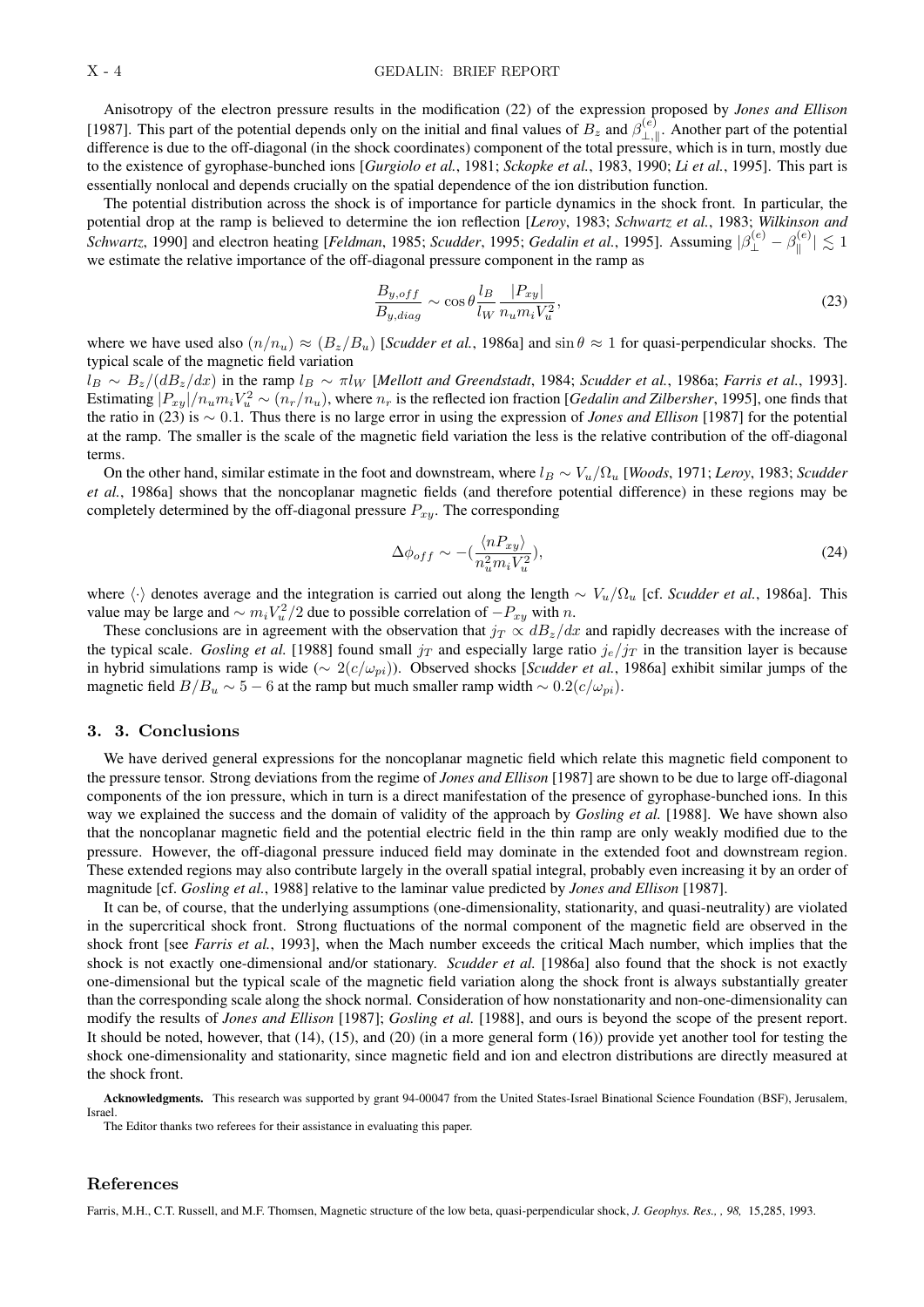Anisotropy of the electron pressure results in the modification (22) of the expression proposed by *Jones and Ellison* [1987]. This part of the potential depends only on the initial and final values of  $B_z$  and  $\beta_{\perp}^{(e)}$  $\mathcal{L}_{\perp,\parallel}^{(e)}$ . Another part of the potential difference is due to the off-diagonal (in the shock coordinates) component of the total pressure, which is in turn, mostly due to the existence of gyrophase-bunched ions [*Gurgiolo et al.*, 1981; *Sckopke et al.*, 1983, 1990; *Li et al.*, 1995]. This part is essentially nonlocal and depends crucially on the spatial dependence of the ion distribution function.

The potential distribution across the shock is of importance for particle dynamics in the shock front. In particular, the potential drop at the ramp is believed to determine the ion reflection [*Leroy*, 1983; *Schwartz et al.*, 1983; *Wilkinson and Schwartz*, 1990] and electron heating [*Feldman*, 1985; *Scudder*, 1995; *Gedalin et al.*, 1995]. Assuming  $|\beta_{\perp}^{(e)} - \beta_{\parallel}^{(e)}|$  $\left|\mathbf{g}^{(e)}\right| \lesssim 1$ we estimate the relative importance of the off-diagonal pressure component in the ramp as

$$
\frac{B_{y,off}}{B_{y,diag}} \sim \cos \theta \frac{l_B}{l_W} \frac{|P_{xy}|}{n_u m_i V_u^2},\tag{23}
$$

where we have used also  $(n/n_u) \approx (B_z/B_u)$  [*Scudder et al.*, 1986a] and  $\sin \theta \approx 1$  for quasi-perpendicular shocks. The typical scale of the magnetic field variation

 $l_B \sim B_z/(dB_z/dx)$  in the ramp  $l_B \sim \pi l_W$  [*Mellott and Greendstadt*, 1984; *Scudder et al.*, 1986a; *Farris et al.*, 1993]. Estimating  $|P_{xy}|/n_u m_i V_u^2 \sim (n_r/n_u)$ , where  $n_r$  is the reflected ion fraction [*Gedalin and Zilbersher*, 1995], one finds that the ratio in (23) is ∼ 0.1. Thus there is no large error in using the expression of *Jones and Ellison* [1987] for the potential at the ramp. The smaller is the scale of the magnetic field variation the less is the relative contribution of the off-diagonal terms.

On the other hand, similar estimate in the foot and downstream, where l<sup>B</sup> ∼ Vu/Ω<sup>u</sup> [*Woods*, 1971; *Leroy*, 1983; *Scudder et al.*, 1986a] shows that the noncoplanar magnetic fields (and therefore potential difference) in these regions may be completely determined by the off-diagonal pressure  $P_{xy}$ . The corresponding

$$
\Delta\phi_{off} \sim -\left(\frac{\langle nP_{xy}\rangle}{n_u^2 m_i V_u^2}\right),\tag{24}
$$

where  $\langle \cdot \rangle$  denotes average and the integration is carried out along the length ∼ V<sub>u</sub>/ $\Omega_u$  [cf. *Scudder et al.*, 1986a]. This value may be large and  $\sim m_i V_u^2/2$  due to possible correlation of  $-P_{xy}$  with n.

These conclusions are in agreement with the observation that  $j_T \propto dB_z/dx$  and rapidly decreases with the increase of the typical scale. *Gosling et al.* [1988] found small  $j_T$  and especially large ratio  $j_e/j_T$  in the transition layer is because in hybrid simulations ramp is wide (∼ 2(c/ωpi)). Observed shocks [*Scudder et al.*, 1986a] exhibit similar jumps of the magnetic field  $B/B_u \sim 5 - 6$  at the ramp but much smaller ramp width  $\sim 0.2(c/\omega_{pi}).$ 

# 3. 3. Conclusions

We have derived general expressions for the noncoplanar magnetic field which relate this magnetic field component to the pressure tensor. Strong deviations from the regime of *Jones and Ellison* [1987] are shown to be due to large off-diagonal components of the ion pressure, which in turn is a direct manifestation of the presence of gyrophase-bunched ions. In this way we explained the success and the domain of validity of the approach by *Gosling et al.* [1988]. We have shown also that the noncoplanar magnetic field and the potential electric field in the thin ramp are only weakly modified due to the pressure. However, the off-diagonal pressure induced field may dominate in the extended foot and downstream region. These extended regions may also contribute largely in the overall spatial integral, probably even increasing it by an order of magnitude [cf. *Gosling et al.*, 1988] relative to the laminar value predicted by *Jones and Ellison* [1987].

It can be, of course, that the underlying assumptions (one-dimensionality, stationarity, and quasi-neutrality) are violated in the supercritical shock front. Strong fluctuations of the normal component of the magnetic field are observed in the shock front [see *Farris et al.*, 1993], when the Mach number exceeds the critical Mach number, which implies that the shock is not exactly one-dimensional and/or stationary. *Scudder et al.* [1986a] also found that the shock is not exactly one-dimensional but the typical scale of the magnetic field variation along the shock front is always substantially greater than the corresponding scale along the shock normal. Consideration of how nonstationarity and non-one-dimensionality can modify the results of *Jones and Ellison* [1987]; *Gosling et al.* [1988], and ours is beyond the scope of the present report. It should be noted, however, that (14), (15), and (20) (in a more general form (16)) provide yet another tool for testing the shock one-dimensionality and stationarity, since magnetic field and ion and electron distributions are directly measured at the shock front.

Acknowledgments. This research was supported by grant 94-00047 from the United States-Israel Binational Science Foundation (BSF), Jerusalem, Israel.

The Editor thanks two referees for their assistance in evaluating this paper.

### References

Farris, M.H., C.T. Russell, and M.F. Thomsen, Magnetic structure of the low beta, quasi-perpendicular shock, *J. Geophys. Res., , 98,* 15,285, 1993.